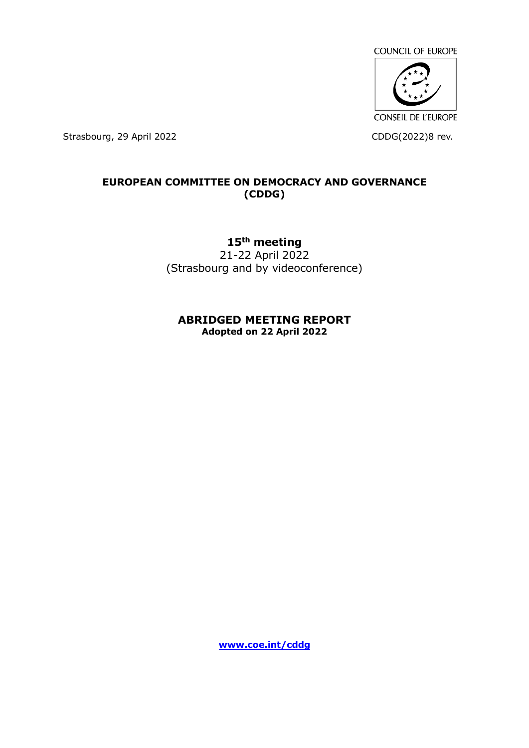

Strasbourg, 29 April 2022 CDDG(2022)8 rev.

## **EUROPEAN COMMITTEE ON DEMOCRACY AND GOVERNANCE (CDDG)**

# **15th meeting**

21-22 April 2022 (Strasbourg and by videoconference)

### **ABRIDGED MEETING REPORT Adopted on 22 April 2022**

**[www.coe.int/cddg](http://www.coe.int/cddg)**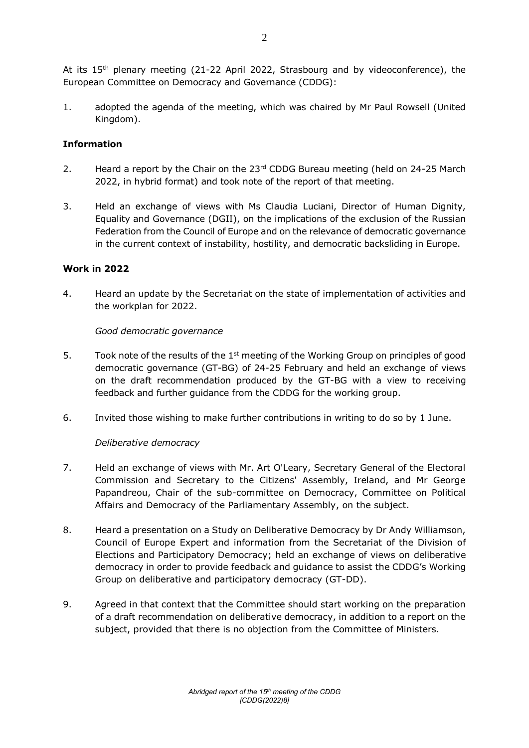At its 15<sup>th</sup> plenary meeting (21-22 April 2022, Strasbourg and by videoconference), the European Committee on Democracy and Governance (CDDG):

1. adopted the agenda of the meeting, which was chaired by Mr Paul Rowsell (United Kingdom).

#### **Information**

- 2. Heard a report by the Chair on the  $23<sup>rd</sup>$  CDDG Bureau meeting (held on 24-25 March 2022, in hybrid format) and took note of the report of that meeting.
- 3. Held an exchange of views with Ms Claudia Luciani, Director of Human Dignity, Equality and Governance (DGII), on the implications of the exclusion of the Russian Federation from the Council of Europe and on the relevance of democratic governance in the current context of instability, hostility, and democratic backsliding in Europe.

#### **Work in 2022**

4. Heard an update by the Secretariat on the state of implementation of activities and the workplan for 2022.

#### *Good democratic governance*

- 5. Took note of the results of the  $1<sup>st</sup>$  meeting of the Working Group on principles of good democratic governance (GT-BG) of 24-25 February and held an exchange of views on the draft recommendation produced by the GT-BG with a view to receiving feedback and further guidance from the CDDG for the working group.
- 6. Invited those wishing to make further contributions in writing to do so by 1 June.

#### *Deliberative democracy*

- 7. Held an exchange of views with Mr. Art O'Leary, Secretary General of the Electoral Commission and Secretary to the Citizens' Assembly, Ireland, and Mr George Papandreou, Chair of the sub-committee on Democracy, Committee on Political Affairs and Democracy of the Parliamentary Assembly, on the subject.
- 8. Heard a presentation on a Study on Deliberative Democracy by Dr Andy Williamson, Council of Europe Expert and information from the Secretariat of the Division of Elections and Participatory Democracy; held an exchange of views on deliberative democracy in order to provide feedback and guidance to assist the CDDG's Working Group on deliberative and participatory democracy (GT-DD).
- 9. Agreed in that context that the Committee should start working on the preparation of a draft recommendation on deliberative democracy, in addition to a report on the subject, provided that there is no objection from the Committee of Ministers.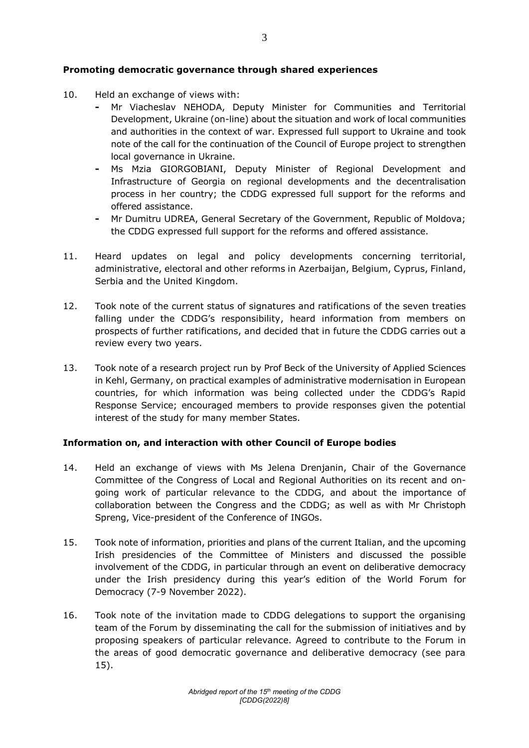#### **Promoting democratic governance through shared experiences**

- 10. Held an exchange of views with:
	- **-** Mr Viacheslav NEHODA, Deputy Minister for Communities and Territorial Development, Ukraine (on-line) about the situation and work of local communities and authorities in the context of war. Expressed full support to Ukraine and took note of the call for the continuation of the Council of Europe project to strengthen local governance in Ukraine.
	- **-** Ms Mzia GIORGOBIANI, Deputy Minister of Regional Development and Infrastructure of Georgia on regional developments and the decentralisation process in her country; the CDDG expressed full support for the reforms and offered assistance.
	- **-** Mr Dumitru UDREA, General Secretary of the Government, Republic of Moldova; the CDDG expressed full support for the reforms and offered assistance.
- 11. Heard updates on legal and policy developments concerning territorial, administrative, electoral and other reforms in Azerbaijan, Belgium, Cyprus, Finland, Serbia and the United Kingdom.
- 12. Took note of the current status of signatures and ratifications of the seven treaties falling under the CDDG's responsibility, heard information from members on prospects of further ratifications, and decided that in future the CDDG carries out a review every two years.
- 13. Took note of a research project run by Prof Beck of the University of Applied Sciences in Kehl, Germany, on practical examples of administrative modernisation in European countries, for which information was being collected under the CDDG's Rapid Response Service; encouraged members to provide responses given the potential interest of the study for many member States.

#### **Information on, and interaction with other Council of Europe bodies**

- 14. Held an exchange of views with Ms Jelena Drenjanin, Chair of the Governance Committee of the Congress of Local and Regional Authorities on its recent and ongoing work of particular relevance to the CDDG, and about the importance of collaboration between the Congress and the CDDG; as well as with Mr Christoph Spreng, Vice-president of the Conference of INGOs.
- 15. Took note of information, priorities and plans of the current Italian, and the upcoming Irish presidencies of the Committee of Ministers and discussed the possible involvement of the CDDG, in particular through an event on deliberative democracy under the Irish presidency during this year's edition of the World Forum for Democracy (7-9 November 2022).
- 16. Took note of the invitation made to CDDG delegations to support the organising team of the Forum by disseminating the call for the submission of initiatives and by proposing speakers of particular relevance. Agreed to contribute to the Forum in the areas of good democratic governance and deliberative democracy (see para 15).